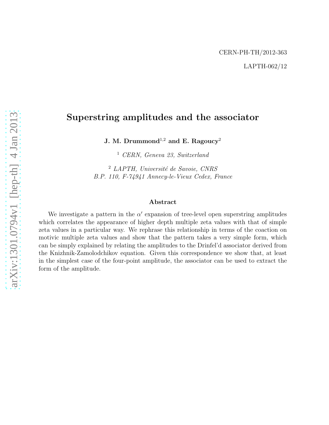# Superstring amplitudes and the associator

J. M. Drummond<sup>1,2</sup> and E. Ragoucy<sup>2</sup>

<sup>1</sup> CERN, Geneva 23, Switzerland

 $2$  LAPTH, Université de Savoie, CNRS B.P. 110, F-74941 Annecy-le-Vieux Cedex, France

#### Abstract

We investigate a pattern in the  $\alpha'$  expansion of tree-level open superstring amplitudes which correlates the appearance of higher depth multiple zeta values with that of simple zeta values in a particular way. We rephrase this relationship in terms of the coaction on motivic multiple zeta values and show that the pattern takes a very simple form, which can be simply explained by relating the amplitudes to the Drinfel'd associator derived from the Knizhnik-Zamolodchikov equation. Given this correspondence we show that, at least in the simplest case of the four-point amplitude, the associator can be used to extract the form of the amplitude.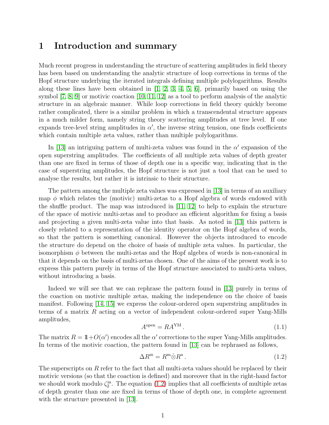#### 1 Introduction and summary

Much recent progress in understanding the structure of scattering amplitudes in field theory has been based on understanding the analytic structure of loop corrections in terms of the Hopf structure underlying the iterated integrals defining multiple polylogarithms. Results along these lines have been obtained in [\[1,](#page-18-0) [2,](#page-18-1) [3,](#page-18-2) [4,](#page-18-3) [5,](#page-18-4) [6\]](#page-19-0), primarily based on using the symbol [\[7,](#page-19-1) [8,](#page-19-2) [9\]](#page-19-3) or motivic coaction [\[10,](#page-19-4) [11,](#page-19-5) [12\]](#page-19-6) as a tool to perform analysis of the analytic structure in an algebraic manner. While loop corrections in field theory quickly become rather complicated, there is a similar problem in which a transcendental structure appears in a much milder form, namely string theory scattering amplitudes at tree level. If one expands tree-level string amplitudes in  $\alpha'$ , the inverse string tension, one finds coefficients which contain multiple zeta values, rather than multiple polylogarithms.

In [\[13\]](#page-19-7) an intriguing pattern of multi-zeta values was found in the  $\alpha'$  expansion of the open superstring amplitudes. The coefficients of all multiple zeta values of depth greater than one are fixed in terms of those of depth one in a specific way, indicating that in the case of superstring amplitudes, the Hopf structure is not just a tool that can be used to analyse the results, but rather it is intrinsic to their structure.

The pattern among the multiple zeta values was expressed in [\[13\]](#page-19-7) in terms of an auxiliary map  $\phi$  which relates the (motivic) multi-zetas to a Hopf algebra of words endowed with the shuffle product. The map was introduced in [\[11,](#page-19-5) [12\]](#page-19-6) to help to explain the structure of the space of motivic multi-zetas and to produce an efficient algorithm for fixing a basis and projecting a given multi-zeta value into that basis. As noted in [\[13\]](#page-19-7) this pattern is closely related to a representation of the identity operator on the Hopf algebra of words, so that the pattern is something canonical. However the objects introduced to encode the structure do depend on the choice of basis of multiple zeta values. In particular, the isomorphism  $\phi$  between the multi-zetas and the Hopf algebra of words is non-canonical in that it depends on the basis of multi-zetas chosen. One of the aims of the present work is to express this pattern purely in terms of the Hopf structure associated to multi-zeta values, without introducing a basis.

Indeed we will see that we can rephrase the pattern found in [\[13\]](#page-19-7) purely in terms of the coaction on motivic multiple zetas, making the independence on the choice of basis manifest. Following [\[14,](#page-19-8) [15\]](#page-19-9) we express the colour-ordered open superstring amplitudes in terms of a matrix  $R$  acting on a vector of independent colour-ordered super Yang-Mills amplitudes,

$$
A^{\text{open}} = RA^{\text{YM}}.
$$
\n
$$
(1.1)
$$

The matrix  $R = 1\!\!1+O(\alpha')$  encodes all the  $\alpha'$  corrections to the super Yang-Mills amplitudes. In terms of the motivic coaction, the pattern found in [\[13\]](#page-19-7) can be rephrased as follows,

<span id="page-1-0"></span>
$$
\Delta R^{\mathbf{m}} = R^{\mathbf{m}} \dot{\otimes} R^{\mathbf{a}} \,. \tag{1.2}
$$

The superscripts on  $R$  refer to the fact that all multi-zeta values should be replaced by their motivic versions (so that the coaction is defined) and moreover that in the right-hand factor we should work modulo  $\zeta_2^{\text{m}}$ . The equation [\(1.2\)](#page-1-0) implies that all coefficients of multiple zetas of depth greater than one are fixed in terms of those of depth one, in complete agreement with the structure presented in [\[13\]](#page-19-7).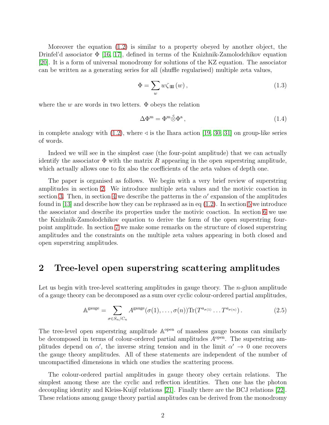Moreover the equation [\(1.2\)](#page-1-0) is similar to a property obeyed by another object, the Drinfel'd associator  $\Phi$  [\[16,](#page-19-10) [17\]](#page-19-11), defined in terms of the Knizhnik-Zamolodchikov equation [\[20\]](#page-19-12). It is a form of universal monodromy for solutions of the KZ equation. The associator can be written as a generating series for all (shuffle regularised) multiple zeta values,

$$
\Phi = \sum_{w} w \zeta_{\rm III}(w) , \qquad (1.3)
$$

where the w are words in two letters.  $\Phi$  obeys the relation

$$
\Delta \Phi^{\mathbf{m}} = \Phi^{\mathbf{m}} \overset{\triangle}{\otimes} \Phi^{\mathbf{a}},\tag{1.4}
$$

in complete analogy with [\(1.2\)](#page-1-0), where  $\triangleleft$  is the Ihara action [\[19,](#page-19-13) [30,](#page-20-0) [31\]](#page-20-1) on group-like series of words.

Indeed we will see in the simplest case (the four-point amplitude) that we can actually identify the associator  $\Phi$  with the matrix R appearing in the open superstring amplitude, which actually allows one to fix also the coefficients of the zeta values of depth one.

The paper is organised as follows. We begin with a very brief review of superstring amplitudes in section [2.](#page-2-0) We introduce multiple zeta values and the motivic coaction in section [3.](#page-4-0) Then, in section [4](#page-6-0) we describe the patterns in the  $\alpha'$  expansion of the amplitudes found in [\[13\]](#page-19-7) and describe how they can be rephrased as in eq  $(1.2)$ . In section [5](#page-9-0) we introduce the associator and describe its properties under the motivic coaction. In section [6](#page-12-0) we use the Knizhnik-Zamolodchikov equation to derive the form of the open superstring fourpoint amplitude. In section [7](#page-13-0) we make some remarks on the structure of closed superstring amplitudes and the constraints on the multiple zeta values appearing in both closed and open superstring amplitudes.

## <span id="page-2-0"></span>2 Tree-level open superstring scattering amplitudes

Let us begin with tree-level scattering amplitudes in gauge theory. The  $n$ -gluon amplitude of a gauge theory can be decomposed as a sum over cyclic colour-ordered partial amplitudes,

$$
\mathbb{A}^{\text{gauge}} = \sum_{\sigma \in S_n / C_n} A^{\text{gauge}}(\sigma(1), \dots, \sigma(n)) \text{Tr}(T^{a_{\sigma(1)}} \dots T^{a_{\sigma(n)}}). \tag{2.5}
$$

The tree-level open superstring amplitude  $\mathbb{A}^{\text{open}}$  of massless gauge bosons can similarly be decomposed in terms of colour-ordered partial amplitudes  $A<sup>open</sup>$ . The superstring amplitudes depend on  $\alpha'$ , the inverse string tension and in the limit  $\alpha' \to 0$  one recovers the gauge theory amplitudes. All of these statements are independent of the number of uncompactified dimensions in which one studies the scattering process.

The colour-ordered partial amplitudes in gauge theory obey certain relations. The simplest among these are the cyclic and reflection identities. Then one has the photon decoupling identity and Kleiss-Kuijf relations [\[21\]](#page-19-14). Finally there are the BCJ relations [\[22\]](#page-19-15). These relations among gauge theory partial amplitudes can be derived from the monodromy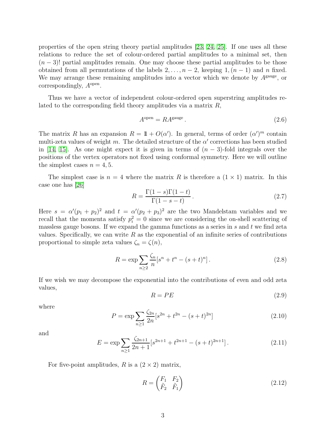properties of the open string theory partial amplitudes [\[23,](#page-19-16) [24,](#page-20-2) [25\]](#page-20-3). If one uses all these relations to reduce the set of colour-ordered partial amplitudes to a minimal set, then  $(n-3)!$  partial amplitudes remain. One may choose these partial amplitudes to be those obtained from all permutations of the labels  $2, \ldots, n-2$ , keeping  $1, (n-1)$  and n fixed. We may arrange these remaining amplitudes into a vector which we denote by  $A<sup>gauge</sup>$ , or correspondingly,  $A<sup>open</sup>$ .

Thus we have a vector of independent colour-ordered open superstring amplitudes related to the corresponding field theory amplitudes via a matrix  $R$ ,

$$
A^{\text{open}} = RA^{\text{gauge}}.
$$
\n
$$
(2.6)
$$

The matrix R has an expansion  $R = 1\!\!1 + O(\alpha')$ . In general, terms of order  $(\alpha')^m$  contain multi-zeta values of weight m. The detailed structure of the  $\alpha'$  corrections has been studied in [\[14,](#page-19-8) [15\]](#page-19-9). As one might expect it is given in terms of  $(n-3)$ -fold integrals over the positions of the vertex operators not fixed using conformal symmetry. Here we will outline the simplest cases  $n = 4, 5$ .

The simplest case is  $n = 4$  where the matrix R is therefore a  $(1 \times 1)$  matrix. In this case one has [\[26\]](#page-20-4)

$$
R = \frac{\Gamma(1-s)\Gamma(1-t)}{\Gamma(1-s-t)}.
$$
\n(2.7)

Here  $s = \alpha'(p_1 + p_2)^2$  and  $t = \alpha'(p_2 + p_3)^2$  are the two Mandelstam variables and we recall that the momenta satisfy  $p_i^2 = 0$  since we are considering the on-shell scattering of massless gauge bosons. If we expand the gamma functions as a series in  $s$  and  $t$  we find zeta values. Specifically, we can write  $R$  as the exponential of an infinite series of contributions proportional to simple zeta values  $\zeta_n = \zeta(n)$ ,

$$
R = \exp \sum_{n \ge 2} \frac{\zeta_n}{n} [s^n + t^n - (s+t)^n].
$$
 (2.8)

If we wish we may decompose the exponential into the contributions of even and odd zeta values,

$$
R = PE \tag{2.9}
$$

where

$$
P = \exp \sum_{n\geq 1} \frac{\zeta_{2n}}{2n} [s^{2n} + t^{2n} - (s+t)^{2n}] \tag{2.10}
$$

and

$$
E = \exp \sum_{n\geq 1} \frac{\zeta_{2n+1}}{2n+1} [s^{2n+1} + t^{2n+1} - (s+t)^{2n+1}]. \tag{2.11}
$$

For five-point amplitudes, R is a  $(2 \times 2)$  matrix,

$$
R = \begin{pmatrix} F_1 & F_2 \\ \tilde{F}_2 & \tilde{F}_1 \end{pmatrix} \tag{2.12}
$$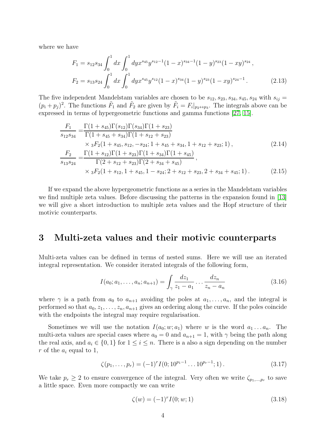where we have

$$
F_1 = s_{12}s_{34} \int_0^1 dx \int_0^1 dy x^{s_{45}} y^{s_{12}-1} (1-x)^{s_{34}-1} (1-y)^{s_{23}} (1-xy)^{s_{24}},
$$
  
\n
$$
F_2 = s_{13}s_{24} \int_0^1 dx \int_0^1 dy x^{s_{45}} y^{s_{12}} (1-x)^{s_{34}} (1-y)^{s_{23}} (1-xy)^{s_{24}-1}.
$$
\n(2.13)

The five independent Mandelstam variables are chosen to be  $s_{12}, s_{23}, s_{34}, s_{45}, s_{24}$  with  $s_{ij} =$  $(p_i + p_j)^2$ . The functions  $\tilde{F}_1$  and  $\tilde{F}_2$  are given by  $\tilde{F}_i = F_i|_{p_2 \leftrightarrow p_3}$ . The integrals above can be expressed in terms of hypergeometric functions and gamma functions [\[27,](#page-20-5) [15\]](#page-19-9).

$$
\frac{F_1}{s_{12}s_{34}} = \frac{\Gamma(1 + s_{45})\Gamma(s_{12})\Gamma(s_{34})\Gamma(1 + s_{23})}{\Gamma(1 + s_{45} + s_{34})\Gamma(1 + s_{12} + s_{23})} \times {}_3F_2(1 + s_{45}, s_{12}, -s_{24}; 1 + s_{45} + s_{34}, 1 + s_{12} + s_{23}; 1),
$$
\n
$$
\frac{F_2}{s_{13}s_{24}} = \frac{\Gamma(1 + s_{12})\Gamma(1 + s_{23})\Gamma(1 + s_{34})\Gamma(1 + s_{45})}{\Gamma(2 + s_{12} + s_{23})\Gamma(2 + s_{34} + s_{45})},
$$
\n
$$
\times {}_3F_2(1 + s_{12}, 1 + s_{45}, 1 - s_{24}; 2 + s_{12} + s_{23}, 2 + s_{34} + s_{45}; 1).
$$
\n(2.15)

If we expand the above hypergeometric functions as a series in the Mandelstam variables we find multiple zeta values. Before discussing the patterns in the expansion found in [\[13\]](#page-19-7) we will give a short introduction to multiple zeta values and the Hopf structure of their motivic counterparts.

### <span id="page-4-0"></span>3 Multi-zeta values and their motivic counterparts

Multi-zeta values can be defined in terms of nested sums. Here we will use an iterated integral representation. We consider iterated integrals of the following form,

$$
I(a_0; a_1, \dots, a_n; a_{n+1}) = \int_{\gamma} \frac{dz_1}{z_1 - a_1} \dots \frac{dz_n}{z_n - a_n}
$$
 (3.16)

where  $\gamma$  is a path from  $a_0$  to  $a_{n+1}$  avoiding the poles at  $a_1, \ldots, a_n$ , and the integral is performed so that  $a_0, z_1, \ldots, z_n, a_{n+1}$  gives an ordering along the curve. If the poles coincide with the endpoints the integral may require regularisation.

Sometimes we will use the notation  $I(a_0; w; a_1)$  where w is the word  $a_1 \ldots a_n$ . The multi-zeta values are special cases where  $a_0 = 0$  and  $a_{n+1} = 1$ , with  $\gamma$  being the path along the real axis, and  $a_i \in \{0,1\}$  for  $1 \leq i \leq n$ . There is a also a sign depending on the number r of the  $a_i$  equal to 1,

$$
\zeta(p_1,\ldots,p_r) = (-1)^r I(0; 10^{p_1-1}\ldots 10^{p_r-1}; 1).
$$
\n(3.17)

We take  $p_r \geq 2$  to ensure convergence of the integral. Very often we write  $\zeta_{p_1,...,p_r}$  to save a little space. Even more compactly we can write

$$
\zeta(w) = (-1)^r I(0; w; 1) \tag{3.18}
$$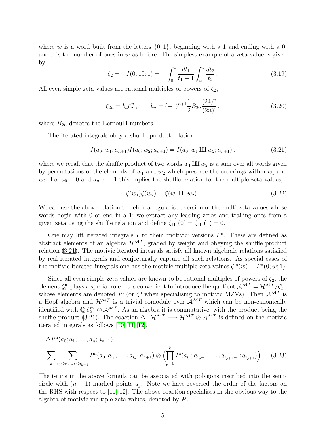where w is a word built from the letters  $\{0, 1\}$ , beginning with a 1 and ending with a 0, and r is the number of ones in w as before. The simplest example of a zeta value is given by

$$
\zeta_2 = -I(0; 10; 1) = -\int_0^1 \frac{dt_1}{t_1 - 1} \int_{t_1}^1 \frac{dt_2}{t_2}.
$$
\n(3.19)

All even simple zeta values are rational multiples of powers of  $\zeta_2$ ,

<span id="page-5-1"></span>
$$
\zeta_{2n} = b_n \zeta_2^n, \qquad b_n = (-1)^{n+1} \frac{1}{2} B_{2n} \frac{(24)^n}{(2n)!}, \qquad (3.20)
$$

where  $B_{2n}$  denotes the Bernoulli numbers.

The iterated integrals obey a shuffle product relation,

<span id="page-5-0"></span>
$$
I(a_0; w_1; a_{n+1}) I(a_0; w_2; a_{n+1}) = I(a_0; w_1 \amalg w_2; a_{n+1}), \qquad (3.21)
$$

where we recall that the shuffle product of two words  $w_1 \mathbf{III} w_2$  is a sum over all words given by permutations of the elements of  $w_1$  and  $w_2$  which preserve the orderings within  $w_1$  and  $w_2$ . For  $a_0 = 0$  and  $a_{n+1} = 1$  this implies the shuffle relation for the multiple zeta values,

<span id="page-5-2"></span>
$$
\zeta(w_1)\zeta(w_2) = \zeta(w_1 \amalg w_2). \tag{3.22}
$$

We can use the above relation to define a regularised version of the multi-zeta values whose words begin with 0 or end in a 1; we extract any leading zeros and trailing ones from a given zeta using the shuffle relation and define  $\zeta_{III}(0) = \zeta_{III}(1) = 0$ .

One may lift iterated integrals I to their 'motivic' versions  $I<sup>m</sup>$ . These are defined as abstract elements of an algebra  $\mathcal{H}^{\mathcal{MT}}$ , graded by weight and obeying the shuffle product relation [\(3.21\)](#page-5-0). The motivic iterated integrals satisfy all known algebraic relations satisfied by real iterated integrals and conjecturally capture all such relations. As special cases of the motivic iterated integrals one has the motivic multiple zeta values  $\zeta^{m}(w) = I^{m}(0; w; 1)$ .

Since all even simple zeta values are known to be rational multiples of powers of  $\zeta_2$ , the element  $\zeta_2^m$  plays a special role. It is convenient to introduce the quotient  $\mathcal{A}^{\mathcal{MT}} = \mathcal{H}^{\mathcal{MT}}/\zeta_2^m$ , whose elements are denoted  $I^{\rm a}$  (or  $\zeta^{\rm a}$  when specialising to motivic MZVs). Then  $\mathcal{A}^{\mathcal{MT}}$  is a Hopf algebra and  $\mathcal{H}^{\mathcal{MT}}$  is a trivial comodule over  $\mathcal{A}^{\mathcal{MT}}$  which can be non-canonically identified with  $\mathbb{Q}[\zeta_2^m] \otimes \mathcal{A}^{\mathcal{MT}}$ . As an algebra it is commutative, with the product being the shuffle product [\(3.21\)](#page-5-0). The coaction  $\Delta : \mathcal{H}^{\mathcal{MT}} \longrightarrow \mathcal{H}^{\mathcal{MT}} \otimes \mathcal{A}^{\mathcal{MT}}$  is defined on the motivic iterated integrals as follows [\[10,](#page-19-4) [11,](#page-19-5) [12\]](#page-19-6).

$$
\Delta I^{\mathbf{m}}(a_0; a_1, \dots, a_n; a_{n+1}) =
$$
\n
$$
\sum_{k} \sum_{i_0 < i_1 \dots i_k < i_{k+1}} I^{\mathbf{m}}(a_0; a_{i_1}, \dots, a_{i_k}; a_{n+1}) \otimes \left( \prod_{p=0}^k I^{\mathbf{a}}(a_{i_p}; a_{i_p+1}, \dots, a_{i_{p+1}-1}; a_{i_{p+1}}) \right). \tag{3.23}
$$

The terms in the above formula can be associated with polygons inscribed into the semicircle with  $(n + 1)$  marked points  $a_j$ . Note we have reversed the order of the factors on the RHS with respect to  $[11, 12]$  $[11, 12]$ . The above coaction specialises in the obvious way to the algebra of motivic multiple zeta values, denoted by  $\mathcal{H}$ .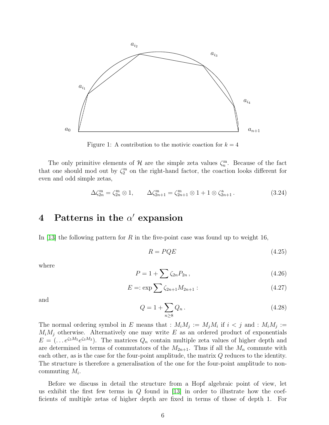

Figure 1: A contribution to the motivic coaction for  $k = 4$ 

The only primitive elements of  $\mathcal H$  are the simple zeta values  $\zeta_n^m$ . Because of the fact that one should mod out by  $\zeta_2^{\text{m}}$  on the right-hand factor, the coaction looks different for even and odd simple zetas,

$$
\Delta \zeta_{2n}^{\mathbf{m}} = \zeta_{2n}^{\mathbf{m}} \otimes 1, \qquad \Delta \zeta_{2n+1}^{\mathbf{m}} = \zeta_{2n+1}^{\mathbf{m}} \otimes 1 + 1 \otimes \zeta_{2n+1}^{\mathbf{a}}.
$$
 (3.24)

# <span id="page-6-0"></span> $4$  Patterns in the  $\alpha'$  expansion

In [\[13\]](#page-19-7) the following pattern for R in the five-point case was found up to weight 16,

$$
R = PQE \tag{4.25}
$$

where

$$
P = 1 + \sum \zeta_{2n} P_{2n} \,, \tag{4.26}
$$

$$
E =: \exp \sum \zeta_{2n+1} M_{2n+1} : \tag{4.27}
$$

and

$$
Q = 1 + \sum_{n \ge 8} Q_n \,. \tag{4.28}
$$

The normal ordering symbol in E means that :  $M_i M_j := M_j M_i$  if  $i < j$  and :  $M_i M_j :=$  $M_iM_j$  otherwise. Alternatively one may write E as an ordered product of exponentials  $E = (\dots e^{\zeta_5 M_5} e^{\zeta_3 M_3})$ . The matrices  $Q_n$  contain multiple zeta values of higher depth and are determined in terms of commutators of the  $M_{2n+1}$ . Thus if all the  $M_n$  commute with each other, as is the case for the four-point amplitude, the matrix  $Q$  reduces to the identity. The structure is therefore a generalisation of the one for the four-point amplitude to noncommuting  $M_i$ .

Before we discuss in detail the structure from a Hopf algebraic point of view, let us exhibit the first few terms in  $Q$  found in [\[13\]](#page-19-7) in order to illustrate how the coefficients of multiple zetas of higher depth are fixed in terms of those of depth 1. For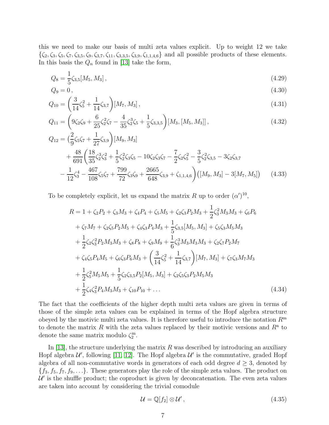this we need to make our basis of multi zeta values explicit. Up to weight 12 we take  ${\{\zeta_2,\zeta_3,\zeta_5,\zeta_7,\zeta_{3,5},\zeta_9,\zeta_{3,7},\zeta_{11},\zeta_{3,3,5},\zeta_{3,9},\zeta_{1,1,4,6}\}}$  and all possible products of these elements. In this basis the  $Q_n$  found in [\[13\]](#page-19-7) take the form,

$$
Q_8 = \frac{1}{5}\zeta_{3,5}[M_5, M_3],\tag{4.29}
$$

$$
Q_9 = 0, \t\t(4.30)
$$

$$
Q_{10} = \left(\frac{3}{14}\zeta_5^2 + \frac{1}{14}\zeta_{3,7}\right)[M_7, M_3],\tag{4.31}
$$

$$
Q_{11} = \left(9\zeta_2\zeta_9 + \frac{6}{25}\zeta_2^2\zeta_7 - \frac{4}{35}\zeta_2^3\zeta_5 + \frac{1}{5}\zeta_{3,3,5}\right)[M_3,[M_5,M_3]]\,,\tag{4.32}
$$

$$
Q_{12} = \left(\frac{2}{9}\zeta_5\zeta_7 + \frac{1}{27}\zeta_{3,9}\right)[M_9, M_3] + \frac{48}{691}\left(\frac{18}{35}\zeta_3^3\zeta_3^2 + \frac{1}{5}\zeta_2^2\zeta_3\zeta_5 - 10\zeta_2\zeta_3\zeta_7 - \frac{7}{2}\zeta_2\zeta_5^2 - \frac{3}{5}\zeta_2^2\zeta_{3,5} - 3\zeta_2\zeta_{3,7} - \frac{1}{12}\zeta_3^4 - \frac{467}{108}\zeta_5\zeta_7 + \frac{799}{72}\zeta_3\zeta_9 + \frac{2665}{648}\zeta_{3,9} + \zeta_{1,1,4,6}\right)\left([M_9, M_3] - 3[M_7, M_5]\right) \quad (4.33)
$$

To be completely explicit, let us expand the matrix R up to order  $(\alpha')^{10}$ ,

$$
R = 1 + \zeta_2 P_2 + \zeta_3 M_3 + \zeta_4 P_4 + \zeta_5 M_5 + \zeta_2 \zeta_3 P_2 M_3 + \frac{1}{2} \zeta_3^2 M_3 M_3 + \zeta_6 P_6
$$
  
+  $\zeta_7 M_7 + \zeta_2 \zeta_5 P_2 M_5 + \zeta_4 \zeta_3 P_4 M_3 + \frac{1}{5} \zeta_{3,5} [M_5, M_3] + \zeta_5 \zeta_3 M_5 M_3$   
+  $\frac{1}{2} \zeta_2 \zeta_3^2 P_2 M_3 M_3 + \zeta_8 P_8 + \zeta_9 M_9 + \frac{1}{6} \zeta_3^3 M_3 M_3 M_3 + \zeta_2 \zeta_7 P_2 M_7$   
+  $\zeta_4 \zeta_5 P_4 M_5 + \zeta_6 \zeta_3 P_6 M_3 + \left(\frac{3}{14} \zeta_5^2 + \frac{1}{14} \zeta_{3,7}\right) [M_7, M_3] + \zeta_7 \zeta_3 M_7 M_3$   
+  $\frac{1}{2} \zeta_5^2 M_5 M_5 + \frac{1}{5} \zeta_2 \zeta_{3,5} P_2 [M_5, M_3] + \zeta_2 \zeta_5 \zeta_3 P_2 M_5 M_3$   
+  $\frac{1}{2} \zeta_4 \zeta_3^2 P_4 M_3 M_3 + \zeta_{10} P_{10} + ...$  (4.34)

The fact that the coefficients of the higher depth multi zeta values are given in terms of those of the simple zeta values can be explained in terms of the Hopf algebra structure obeyed by the motivic multi zeta values. It is therefore useful to introduce the notation  $R^{\text{m}}$ to denote the matrix R with the zeta values replaced by their motivic versions and  $R^a$  to denote the same matrix modulo  $\zeta_2^m$ .

In [\[13\]](#page-19-7), the structure underlying the matrix  $R$  was described by introducing an auxiliary Hopf algebra  $\mathcal{U}'$ , following [\[11,](#page-19-5) [12\]](#page-19-6). The Hopf algebra  $\mathcal{U}'$  is the commutative, graded Hopf algebra of all non-commutative words in generators of each odd degree  $d \geq 3$ , denoted by  $\{f_3, f_5, f_7, f_9, \ldots\}$ . These generators play the role of the simple zeta values. The product on  $\mathcal{U}'$  is the shuffle product; the coproduct is given by deconcatenation. The even zeta values are taken into account by considering the trivial comodule

<span id="page-7-0"></span>
$$
\mathcal{U} = \mathbb{Q}[f_2] \otimes \mathcal{U}',\tag{4.35}
$$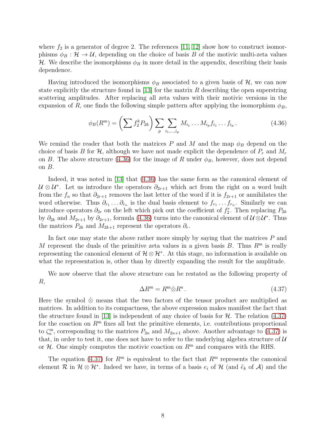where  $f_2$  is a generator of degree 2. The references [\[11,](#page-19-5) [12\]](#page-19-6) show how to construct isomorphisms  $\phi_B : \mathcal{H} \to \mathcal{U}$ , depending on the choice of basis B of the motivic multi-zeta values H. We describe the isomorphisms  $\phi_B$  in more detail in the appendix, describing their basis dependence.

Having introduced the isomorphisms  $\phi_B$  associated to a given basis of H, we can now state explicitly the structure found in [\[13\]](#page-19-7) for the matrix  $R$  describing the open superstring scattering amplitudes. After replacing all zeta values with their motivic versions in the expansion of R, one finds the following simple pattern after applying the isomorphism  $\phi_B$ ,

<span id="page-8-0"></span>
$$
\phi_B(R^{\mathbf{m}}) = \left(\sum f_2^k P_{2k}\right) \sum_p \sum_{i_1, \dots, i_p} M_{i_1} \dots M_{i_p} f_{i_1} \dots f_{i_p} \,. \tag{4.36}
$$

We remind the reader that both the matrices P and M and the map  $\phi_B$  depend on the choice of basis B for  $\mathcal{H}$ , although we have not made explicit the dependence of  $P_r$  and  $M_r$ on B. The above structure [\(4.36\)](#page-8-0) for the image of R under  $\phi_B$ , however, does not depend on  $B$ .

Indeed, it was noted in [\[13\]](#page-19-7) that [\(4.36\)](#page-8-0) has the same form as the canonical element of  $\mathcal{U} \otimes \mathcal{U}^*$ . Let us introduce the operators  $\partial_{2r+1}$  which act from the right on a word built from the  $f_n$  so that  $\partial_{2r+1}$  removes the last letter of the word if it is  $f_{2r+1}$  or annihilates the word otherwise. Thus  $\partial_{r_1} \ldots \partial_{r_n}$  is the dual basis element to  $f_{r_1} \ldots f_{r_n}$ . Similarly we can introduce operators  $\partial_{2r}$  on the left which pick out the coefficient of  $f_2^r$ . Then replacing  $P_{2k}$ by  $\partial_{2k}$  and  $M_{2r+1}$  by  $\partial_{2r+1}$ , formula [\(4.36\)](#page-8-0) turns into the canonical element of  $\mathcal{U}\otimes\mathcal{U}^*$ . Thus the matrices  $P_{2k}$  and  $M_{2k+1}$  represent the operators  $\partial_r$ .

In fact one may state the above rather more simply by saying that the matrices  $P$  and M represent the duals of the primitive zeta values in a given basis B. Thus  $R<sup>m</sup>$  is really representing the canonical element of  $\mathcal{H} \otimes \mathcal{H}^*$ . At this stage, no information is available on what the representation is, other than by directly expanding the result for the amplitude.

We now observe that the above structure can be restated as the following property of R,

<span id="page-8-1"></span>
$$
\Delta R^{\mathbf{m}} = R^{\mathbf{m}} \dot{\otimes} R^{\mathbf{a}}.
$$
\n(4.37)

Here the symbol  $\&$  means that the two factors of the tensor product are multiplied as matrices. In addition to its compactness, the above expression makes manifest the fact that the structure found in [\[13\]](#page-19-7) is independent of any choice of basis for  $H$ . The relation [\(4.37\)](#page-8-1) for the coaction on  $R<sup>m</sup>$  fixes all but the primitive elements, i.e. contributions proportional to  $\zeta_n^{\text{m}}$ , corresponding to the matrices  $P_{2n}$  and  $M_{2n+1}$  above. Another advantage to [\(4.37\)](#page-8-1) is that, in order to test it, one does not have to refer to the underlying algebra structure of  $U$ or  $H$ . One simply computes the motivic coaction on  $R^m$  and compares with the RHS.

The equation [\(4.37\)](#page-8-1) for  $R^m$  is equivalent to the fact that  $R^m$  represents the canonical element R in  $\mathcal{H} \otimes \mathcal{H}^*$ . Indeed we have, in terms of a basis  $e_i$  of H (and  $\tilde{e}_k$  of A) and the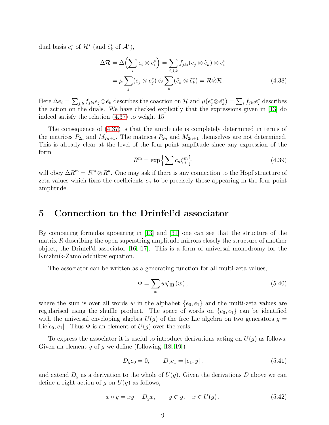dual basis  $e_i^*$  of  $\mathcal{H}^*$  (and  $\tilde{e}_k^*$  of  $\mathcal{A}^*$ ),

$$
\Delta \mathcal{R} = \Delta \left( \sum_{i} e_{i} \otimes e_{i}^{*} \right) = \sum_{i,j,k} f_{jki}(e_{j} \otimes \tilde{e}_{k}) \otimes e_{i}^{*}
$$

$$
= \mu \sum_{j} (e_{j} \otimes e_{j}^{*}) \otimes \sum_{k} (\tilde{e}_{k} \otimes \tilde{e}_{k}^{*}) = \mathcal{R} \dot{\otimes} \tilde{\mathcal{R}}.
$$
(4.38)

Here  $\Delta e_i = \sum_{j,k} f_{jki} e_j \otimes \tilde{e}_k$  describes the coaction on H and  $\mu(e_j^* \otimes \tilde{e}_k^*) = \sum_i f_{jki} e_i^*$  describes the action on the duals. We have checked explicitly that the expressions given in [\[13\]](#page-19-7) do indeed satisfy the relation [\(4.37\)](#page-8-1) to weight 15.

The consequence of [\(4.37\)](#page-8-1) is that the amplitude is completely determined in terms of the matrices  $P_{2n}$  and  $M_{2n+1}$ . The matrices  $P_{2n}$  and  $M_{2n+1}$  themselves are not determined. This is already clear at the level of the four-point amplitude since any expression of the form

$$
R^{\mathbf{m}} = \exp\left\{\sum c_n \zeta_n^{\mathbf{m}}\right\} \tag{4.39}
$$

will obey  $\Delta R^{\text{m}} = R^{\text{m}} \otimes R^{\text{a}}$ . One may ask if there is any connection to the Hopf structure of zeta values which fixes the coefficients  $c_n$  to be precisely those appearing in the four-point amplitude.

# <span id="page-9-0"></span>5 Connection to the Drinfel'd associator

By comparing formulas appearing in [\[13\]](#page-19-7) and [\[31\]](#page-20-1) one can see that the structure of the matrix  $R$  describing the open superstring amplitude mirrors closely the structure of another object, the Drinfel'd associator [\[16,](#page-19-10) [17\]](#page-19-11). This is a form of universal monodromy for the Knizhnik-Zamolodchikov equation.

The associator can be written as a generating function for all multi-zeta values,

<span id="page-9-1"></span>
$$
\Phi = \sum_{w} w \zeta_{\rm III}(w) , \qquad (5.40)
$$

where the sum is over all words w in the alphabet  $\{e_0, e_1\}$  and the multi-zeta values are regularised using the shuffle product. The space of words on  ${e_0, e_1}$  can be identified with the universal enveloping algebra  $U(q)$  of the free Lie algebra on two generators  $q =$ Lie $[e_0, e_1]$ . Thus  $\Phi$  is an element of  $U(g)$  over the reals.

To express the associator it is useful to introduce derivations acting on  $U(g)$  as follows. Given an element y of g we define (following  $[18, 19]$  $[18, 19]$ )

$$
D_y e_0 = 0, \qquad D_y e_1 = [e_1, y], \qquad (5.41)
$$

and extend  $D_y$  as a derivation to the whole of  $U(g)$ . Given the derivations D above we can define a right action of g on  $U(g)$  as follows,

$$
x \circ y = xy - D_y x, \qquad y \in g, \quad x \in U(g).
$$
\n
$$
(5.42)
$$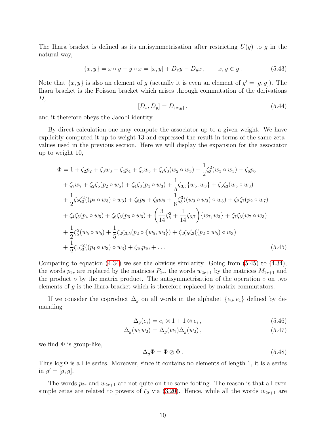The Ihara bracket is defined as its antisymmetrisation after restricting  $U(g)$  to g in the natural way,

$$
\{x, y\} = x \circ y - y \circ x = [x, y] + D_x y - D_y x, \qquad x, y \in g. \tag{5.43}
$$

Note that  $\{x, y\}$  is also an element of g (actually it is even an element of  $g' = [g, g]$ ). The Ihara bracket is the Poisson bracket which arises through commutation of the derivations  $D,$ 

$$
[D_x, D_y] = D_{\{x,y\}},\tag{5.44}
$$

and it therefore obeys the Jacobi identity.

By direct calculation one may compute the associator up to a given weight. We have explicitly computed it up to weight 13 and expressed the result in terms of the same zetavalues used in the previous section. Here we will display the expansion for the associator up to weight 10,

$$
\Phi = 1 + \zeta_2 p_2 + \zeta_3 w_3 + \zeta_4 p_4 + \zeta_5 w_5 + \zeta_2 \zeta_3 (w_2 \circ w_3) + \frac{1}{2} \zeta_3^2 (w_3 \circ w_3) + \zeta_6 p_6 \n+ \zeta_7 w_7 + \zeta_2 \zeta_5 (p_2 \circ w_5) + \zeta_4 \zeta_3 (p_4 \circ w_3) + \frac{1}{5} \zeta_{3,5} \{w_5, w_3\} + \zeta_5 \zeta_3 (w_5 \circ w_3) \n+ \frac{1}{2} \zeta_2 \zeta_3^2 ((p_2 \circ w_3) \circ w_3) + \zeta_8 p_8 + \zeta_9 w_9 + \frac{1}{6} \zeta_3^3 ((w_3 \circ w_3) \circ w_3) + \zeta_2 \zeta_7 (p_2 \circ w_7) \n+ \zeta_4 \zeta_5 (p_4 \circ w_5) + \zeta_6 \zeta_3 (p_6 \circ w_3) + \left(\frac{3}{14} \zeta_5^2 + \frac{1}{14} \zeta_{3,7}\right) \{w_7, w_3\} + \zeta_7 \zeta_3 (w_7 \circ w_3) \n+ \frac{1}{2} \zeta_5^2 (w_5 \circ w_5) + \frac{1}{5} \zeta_2 \zeta_{3,5} (p_2 \circ \{w_5, w_3\}) + \zeta_2 \zeta_5 \zeta_3 ((p_2 \circ w_5) \circ w_3) \n+ \frac{1}{2} \zeta_4 \zeta_3^2 ((p_4 \circ w_3) \circ w_3) + \zeta_{10} p_{10} + \dots
$$
\n(5.45)

Comparing to equation  $(4.34)$  we see the obvious similarity. Going from  $(5.45)$  to  $(4.34)$ , the words  $p_{2r}$  are replaced by the matrices  $P_{2r}$ , the words  $w_{2r+1}$  by the matrices  $M_{2r+1}$  and the product  $\circ$  by the matrix product. The antisymmetrisation of the operation  $\circ$  on two elements of  $g$  is the Ihara bracket which is therefore replaced by matrix commutators.

If we consider the coproduct  $\Delta_g$  on all words in the alphabet  $\{e_0, e_1\}$  defined by demanding

<span id="page-10-0"></span>
$$
\Delta_g(e_i) = e_i \otimes 1 + 1 \otimes e_i, \qquad (5.46)
$$

$$
\Delta_g(w_1 w_2) = \Delta_g(w_1) \Delta_g(w_2),\tag{5.47}
$$

we find  $\Phi$  is group-like,

<span id="page-10-1"></span>
$$
\Delta_g \Phi = \Phi \otimes \Phi \,. \tag{5.48}
$$

Thus  $\log \Phi$  is a Lie series. Moreover, since it contains no elements of length 1, it is a series in  $g' = [g, g]$ .

The words  $p_{2r}$  and  $w_{2r+1}$  are not quite on the same footing. The reason is that all even simple zetas are related to powers of  $\zeta_2$  via [\(3.20\)](#page-5-1). Hence, while all the words  $w_{2r+1}$  are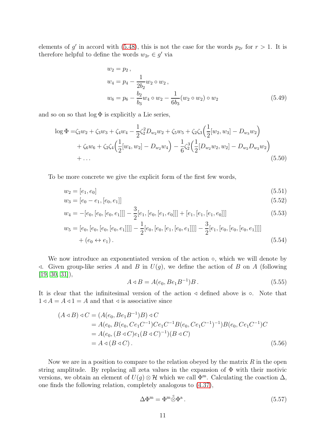elements of g' in accord with [\(5.48\)](#page-10-1), this is not the case for the words  $p_{2r}$  for  $r > 1$ . It is therefore helpful to define the words  $w_{2r} \in g'$  via

$$
w_2 = p_2,
$$
  
\n
$$
w_4 = p_4 - \frac{1}{2b_2} w_2 \circ w_2,
$$
  
\n
$$
w_6 = p_6 - \frac{b_2}{b_3} w_4 \circ w_2 - \frac{1}{6b_3} (w_2 \circ w_2) \circ w_2
$$
\n(5.49)

and so on so that  $log \Phi$  is explicitly a Lie series,

$$
\log \Phi = \zeta_2 w_2 + \zeta_3 w_3 + \zeta_4 w_4 - \frac{1}{2} \zeta_2^2 D_{w_2} w_2 + \zeta_5 w_5 + \zeta_2 \zeta_3 \left(\frac{1}{2} [w_2, w_3] - D_{w_3} w_2\right) + \zeta_6 w_6 + \zeta_2 \zeta_4 \left(\frac{1}{2} [w_4, w_2] - D_{w_2} w_4\right) - \frac{1}{6} \zeta_2^3 \left(\frac{1}{2} [D_{w_2} w_2, w_2] - D_{w_2} D_{w_2} w_2\right) + \dots
$$
\n(5.50)

To be more concrete we give the explicit form of the first few words,

$$
w_2 = [e_1, e_0] \tag{5.51}
$$

$$
w_3 = [e_0 - e_1, [e_0, e_1]] \tag{5.52}
$$

$$
w_4 = -[e_0, [e_0, [e_0, e_1]]] - \frac{3}{2}[e_1, [e_0, [e_1, e_0]]] + [e_1, [e_1, [e_1, e_0]]]
$$
(5.53)

$$
w_5 = [e_0, [e_0, [e_0, [e_0, e_1]]]] - \frac{1}{2} [e_0, [e_0, [e_1, [e_0, e_1]]]] - \frac{3}{2} [e_1, [e_0, [e_0, [e_0, e_1]]]]]
$$
  
  $+ (e_0 \leftrightarrow e_1).$  (5.54)

We now introduce an exponentiated version of the action  $\circ$ , which we will denote by  $\triangleleft$ . Given group-like series A and B in  $U(g)$ , we define the action of B on A (following  $[19, 30, 31]$  $[19, 30, 31]$  $[19, 30, 31]$ ,

$$
A \triangleleft B = A(e_0, Be_1B^{-1})B. \tag{5.55}
$$

It is clear that the infinitesimal version of the action  $\triangleleft$  defined above is  $\circ$ . Note that  $1 \triangleleft A = A \triangleleft 1 = A$  and that  $\triangleleft$  is associative since

$$
(A \triangleleft B) \triangleleft C = (A(e_0, Be_1B^{-1})B) \triangleleft C
$$
  
=  $A(e_0, B(e_0, Ce_1C^{-1})Ce_1C^{-1}B(e_0, Ce_1C^{-1})^{-1})B(e_0, Ce_1C^{-1})C$   
=  $A(e_0, (B \triangleleft C)e_1(B \triangleleft C)^{-1})(B \triangleleft C)$   
=  $A \triangleleft (B \triangleleft C).$  (5.56)

Now we are in a position to compare to the relation obeyed by the matrix  $R$  in the open string amplitude. By replacing all zeta values in the expansion of  $\Phi$  with their motivic versions, we obtain an element of  $U(g) \otimes \mathcal{H}$  which we call  $\Phi^m$ . Calculating the coaction  $\Delta$ , one finds the following relation, completely analogous to [\(4.37\)](#page-8-1),

$$
\Delta \Phi^{\mathbf{m}} = \Phi^{\mathbf{m}} \overset{\triangle}{\otimes} \Phi^{\mathbf{a}}.
$$
\n(5.57)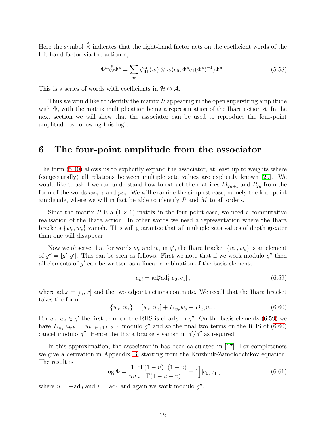Here the symbol  $\stackrel{\triangle}{\otimes}$  indicates that the right-hand factor acts on the coefficient words of the left-hand factor via the action  $\triangleleft$ ,

$$
\Phi^m \overset{\triangle}{\otimes} \Phi^a = \sum_w \zeta^m_{\text{III}}(w) \otimes w(e_0, \Phi^a e_1 (\Phi^a)^{-1}) \Phi^a. \tag{5.58}
$$

This is a series of words with coefficients in  $\mathcal{H} \otimes \mathcal{A}$ .

Thus we would like to identify the matrix  $R$  appearing in the open superstring amplitude with  $\Phi$ , with the matrix multiplication being a representation of the Ihara action  $\triangleleft$ . In the next section we will show that the associator can be used to reproduce the four-point amplitude by following this logic.

### <span id="page-12-0"></span>6 The four-point amplitude from the associator

The form [\(5.40\)](#page-9-1) allows us to explicitly expand the associator, at least up to weights where (conjecturally) all relations between multiple zeta values are explicitly known [\[29\]](#page-20-6). We would like to ask if we can understand how to extract the matrices  $M_{2n+1}$  and  $P_{2n}$  from the form of the words  $w_{2n+1}$  and  $p_{2n}$ . We will examine the simplest case, namely the four-point amplitude, where we will in fact be able to identify  $P$  and  $M$  to all orders.

Since the matrix R is a  $(1 \times 1)$  matrix in the four-point case, we need a commutative realisation of the Ihara action. In other words we need a representation where the Ihara brackets  $\{w_r, w_s\}$  vanish. This will guarantee that all multiple zeta values of depth greater than one will disappear.

Now we observe that for words  $w_r$  and  $w_s$  in  $g'$ , the Ihara bracket  $\{w_r, w_s\}$  is an element of  $g'' = [g', g']$ . This can be seen as follows. First we note that if we work modulo g'' then all elements of  $g'$  can be written as a linear combination of the basis elements

<span id="page-12-1"></span>
$$
u_{kl} = \text{ad}_0^k \text{ad}_1^l[e_0, e_1], \qquad (6.59)
$$

where  $ad_i x = [e_i, x]$  and the two adjoint actions commute. We recall that the Ihara bracket takes the form

<span id="page-12-2"></span>
$$
\{w_r, w_s\} = [w_r, w_s] + D_{w_r} w_s - D_{w_s} w_r. \tag{6.60}
$$

For  $w_r, w_s \in g'$  the first term on the RHS is clearly in  $g''$ . On the basis elements [\(6.59\)](#page-12-1) we have  $D_{u_{kl}}u_{k'l'} = u_{k+k'+1,l+l'+1}$  modulo g'' and so the final two terms on the RHS of [\(6.60\)](#page-12-2) cancel modulo  $g''$ . Hence the Ihara brackets vanish in  $g'/g''$  as required.

In this approximation, the associator in has been calculated in [\[17\]](#page-19-11). For completeness we give a derivation in Appendix [B,](#page-16-0) starting from the Knizhnik-Zamolodchikov equation. The result is

$$
\log \Phi = \frac{1}{uv} \left[ \frac{\Gamma(1-u)\Gamma(1-v)}{\Gamma(1-u-v)} - 1 \right] [e_0, e_1], \tag{6.61}
$$

where  $u = -ad_0$  and  $v = ad_1$  and again we work modulo  $g''$ .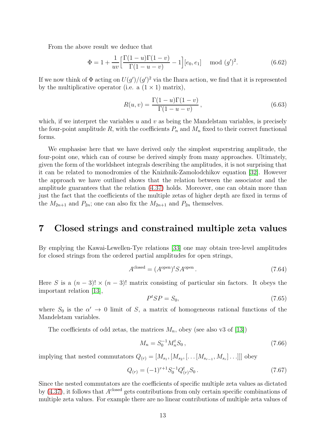From the above result we deduce that

$$
\Phi = 1 + \frac{1}{uv} \left[ \frac{\Gamma(1-u)\Gamma(1-v)}{\Gamma(1-u-v)} - 1 \right] [e_0, e_1] \mod (g')^2.
$$
 (6.62)

If we now think of  $\Phi$  acting on  $U(g')/(g')^2$  via the Ihara action, we find that it is represented by the multiplicative operator (i.e. a  $(1 \times 1)$  matrix),

$$
R(u,v) = \frac{\Gamma(1-u)\Gamma(1-v)}{\Gamma(1-u-v)},
$$
\n(6.63)

which, if we interpret the variables u and v as being the Mandelstam variables, is precisely the four-point amplitude R, with the coefficients  $P_n$  and  $M_n$  fixed to their correct functional forms.

We emphasise here that we have derived only the simplest superstring amplitude, the four-point one, which can of course be derived simply from many approaches. Ultimately, given the form of the worldsheet integrals describing the amplitudes, it is not surprising that it can be related to monodromies of the Knizhnik-Zamolodchikov equation [\[32\]](#page-20-7). However the approach we have outlined shows that the relation between the associator and the amplitude guarantees that the relation [\(4.37\)](#page-8-1) holds. Moreover, one can obtain more than just the fact that the coefficients of the multiple zetas of higher depth are fixed in terms of the  $M_{2n+1}$  and  $P_{2n}$ ; one can also fix the  $M_{2n+1}$  and  $P_{2n}$  themselves.

# <span id="page-13-0"></span>7 Closed strings and constrained multiple zeta values

By emplying the Kawai-Lewellen-Tye relations [\[33\]](#page-20-8) one may obtain tree-level amplitudes for closed strings from the ordered partial amplitudes for open strings,

$$
Aclosed = (Aopen)t SAopen.
$$
 (7.64)

Here S is a  $(n-3)! \times (n-3)!$  matrix consisting of particular sin factors. It obeys the important relation [\[13\]](#page-19-7),

$$
PtSP = S0, \t\t(7.65)
$$

where  $S_0$  is the  $\alpha' \to 0$  limit of S, a matrix of homogeneous rational functions of the Mandelstam variables.

The coefficients of odd zetas, the matrices  $M_n$ , obey (see also v3 of [\[13\]](#page-19-7))

<span id="page-13-1"></span>
$$
M_n = S_0^{-1} M_n^t S_0 \,, \tag{7.66}
$$

implying that nested commutators  $Q_{(r)} = [M_{s_1}, [M_{s_2}, [\dots [M_{s_{r-1}}, M_{s_r}]\dots]]]$  obey

$$
Q_{(r)} = (-1)^{r+1} S_0^{-1} Q_{(r)}^t S_0.
$$
\n(7.67)

Since the nested commutators are the coefficients of specific multiple zeta values as dictated by  $(4.37)$ , it follows that  $A<sup>closed</sup>$  gets contributions from only certain specific combinations of multiple zeta values. For example there are no linear contributions of multiple zeta values of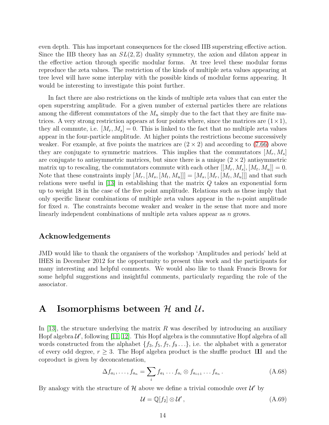even depth. This has important consequences for the closed IIB superstring effective action. Since the IIB theory has an  $SL(2,\mathbb{Z})$  duality symmetry, the axion and dilaton appear in the effective action through specific modular forms. At tree level these modular forms reproduce the zeta values. The restriction of the kinds of multiple zeta values appearing at tree level will have some interplay with the possible kinds of modular forms appearing. It would be interesting to investigate this point further.

In fact there are also restrictions on the kinds of multiple zeta values that can enter the open superstring amplitude. For a given number of external particles there are relations among the different commutators of the  $M_n$  simply due to the fact that they are finite matrices. A very strong restriction appears at four points where, since the matrices are  $(1 \times 1)$ , they all commute, i.e.  $|M_r, M_s| = 0$ . This is linked to the fact that no multiple zeta values appear in the four-particle amplitude. At higher points the restrictions become successively weaker. For example, at five points the matrices are  $(2 \times 2)$  and according to [\(7.66\)](#page-13-1) above they are conjugate to symmetric matrices. This implies that the commutators  $[M_r, M_s]$ are conjugate to antisymmetric matrices, but since there is a unique  $(2 \times 2)$  antisymmetric matrix up to rescaling, the commutators commute with each other  $[[M_r, M_s], [M_t, M_u]] = 0$ . Note that these constraints imply  $[M_r,[M_s,[M_t,M_u]]]=[M_s,[M_r,[M_t,M_u]]]$  and that such relations were useful in  $[13]$  in establishing that the matrix  $Q$  takes an exponential form up to weight 18 in the case of the five point amplitude. Relations such as these imply that only specific linear combinations of multiple zeta values appear in the  $n$ -point amplitude for fixed n. The constraints become weaker and weaker in the sense that more and more linearly independent combinations of multiple zeta values appear as n grows.

#### Acknowledgements

JMD would like to thank the organisers of the workshop 'Amplitudes and periods' held at IHES in December 2012 for the opportunity to present this work and the participants for many interesting and helpful comments. We would also like to thank Francis Brown for some helpful suggestions and insightful comments, particularly regarding the role of the associator.

# A Isomorphisms between  $\mathcal H$  and  $\mathcal U$ .

In [\[13\]](#page-19-7), the structure underlying the matrix R was described by introducing an auxiliary Hopf algebra  $\mathcal{U}'$ , following [\[11,](#page-19-5) [12\]](#page-19-6). This Hopf algebra is the commutative Hopf algebra of all words constructed from the alphabet  $\{f_3, f_5, f_7, f_9 \ldots\}$ , i.e. the alphabet with a generator of every odd degree,  $r \geq 3$ . The Hopf algebra product is the shuffle product III and the coproduct is given by deconcatenation,

$$
\Delta f_{a_1}, \dots, f_{a_n} = \sum_i f_{a_1} \dots f_{a_i} \otimes f_{a_{i+1}} \dots f_{a_n}.
$$
\n(A.68)

By analogy with the structure of  $\mathcal H$  above we define a trivial comodule over  $\mathcal U'$  by

$$
\mathcal{U} = \mathbb{Q}[f_2] \otimes \mathcal{U}',\tag{A.69}
$$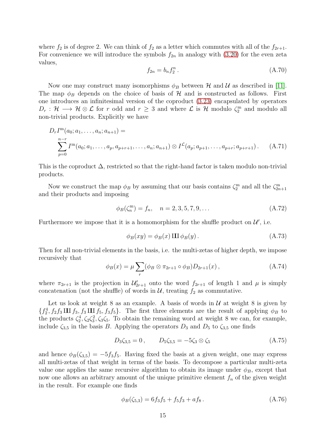where  $f_2$  is of degree 2. We can think of  $f_2$  as a letter which commutes with all of the  $f_{2r+1}$ . For convenience we will introduce the symbols  $f_{2n}$  in analogy with [\(3.20\)](#page-5-1) for the even zeta values,

$$
f_{2n} = b_n f_2^n. \tag{A.70}
$$

Now one may construct many isomorphisms  $\phi_B$  between H and U as described in [\[11\]](#page-19-5). The map  $\phi_B$  depends on the choice of basis of H and is constructed as follows. First one introduces an infinitesimal version of the coproduct [\(3.23\)](#page-5-2) encapsulated by operators  $D_r$ :  $\mathcal{H} \longrightarrow \mathcal{H} \otimes \mathcal{L}$  for r odd and  $r \geq 3$  and where  $\mathcal{L}$  is  $\mathcal{H}$  modulo  $\zeta_2^m$  and modulo all non-trivial products. Explicitly we have

$$
D_r I^m(a_0; a_1, \dots, a_n; a_{n+1}) =
$$
  

$$
\sum_{p=0}^{n-r} I^m(a_0; a_1, \dots, a_p, a_{p+r+1}, \dots, a_n; a_{n+1}) \otimes I^{\mathcal{L}}(a_p; a_{p+1}, \dots, a_{p+r}; a_{p+r+1}).
$$
 (A.71)

This is the coproduct  $\Delta$ , restricted so that the right-hand factor is taken modulo non-trivial products.

Now we construct the map  $\phi_B$  by assuming that our basis contains  $\zeta_2^m$  and all the  $\zeta_{2n+1}^m$ and their products and imposing

$$
\phi_B(\zeta_n^m) = f_n, \quad n = 2, 3, 5, 7, 9, \dots \tag{A.72}
$$

Furthermore we impose that it is a homomorphism for the shuffle product on  $\mathcal{U}'$ , i.e.

$$
\phi_B(xy) = \phi_B(x) \amalg \phi_B(y). \tag{A.73}
$$

Then for all non-trivial elements in the basis, i.e. the multi-zetas of higher depth, we impose recursively that

$$
\phi_B(x) = \mu \sum_r (\phi_B \otimes \pi_{2r+1} \circ \phi_B) D_{2r+1}(x) , \qquad (A.74)
$$

where  $\pi_{2r+1}$  is the projection in  $\mathcal{U}'_{2r+1}$  onto the word  $f_{2r+1}$  of length 1 and  $\mu$  is simply concatenation (not the shuffle) of words in  $\mathcal{U}$ , treating  $f_2$  as commutative.

Let us look at weight 8 as an example. A basis of words in  $U$  at weight 8 is given by  $\{f_2^4, f_2f_3 \amalg f_3, f_3 \amalg f_5, f_3f_5\}.$  The first three elements are the result of applying  $\phi_B$  to the products  $\zeta_2^4, \zeta_2 \zeta_3^2, \zeta_3 \zeta_5$ . To obtain the remaining word at weight 8 we can, for example, include  $\zeta_{3,5}$  in the basis B. Applying the operators  $D_3$  and  $D_5$  to  $\zeta_{3,5}$  one finds

$$
D_3\zeta_{3,5} = 0, \qquad D_5\zeta_{3,5} = -5\zeta_3 \otimes \zeta_5 \tag{A.75}
$$

and hence  $\phi_B(\zeta_{3,5}) = -5f_3f_5$ . Having fixed the basis at a given weight, one may express all multi-zetas of that weight in terms of the basis. To decompose a particular multi-zeta value one applies the same recursive algorithm to obtain its image under  $\phi_B$ , except that now one allows an arbitrary amount of the unique primitive element  $f_n$  of the given weight in the result. For example one finds

$$
\phi_B(\zeta_{5,3}) = 6f_3f_5 + f_5f_3 + af_8. \tag{A.76}
$$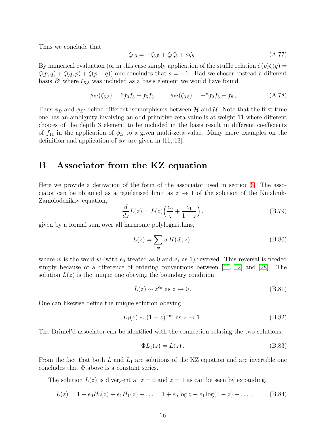Thus we conclude that

$$
\zeta_{5,3} = -\zeta_{3,5} + \zeta_3 \zeta_5 + a \zeta_8. \tag{A.77}
$$

By numerical evaluation (or in this case simply application of the stuffle relation  $\zeta(p)\zeta(q)$  =  $\zeta(p,q) + \zeta(q,p) + \zeta(p+q)$  one concludes that  $a = -1$ . Had we chosen instead a different basis  $B'$  where  $\zeta_{5,3}$  was included as a basis element we would have found

$$
\phi_{B'}(\zeta_{5,3}) = 6f_3f_5 + f_5f_3, \qquad \phi_{B'}(\zeta_{3,5}) = -5f_3f_5 + f_8, \tag{A.78}
$$

Thus  $\phi_B$  and  $\phi_{B'}$  define different isomorphisms between H and U. Note that the first time one has an ambiguity involving an odd primitive zeta value is at weight 11 where different choices of the depth 3 element to be included in the basis result in different coefficients of  $f_{11}$  in the application of  $\phi_B$  to a given multi-zeta value. Many more examples on the definition and application of  $\phi_B$  are given in [\[11,](#page-19-5) [13\]](#page-19-7).

# <span id="page-16-0"></span>B Associator from the KZ equation

Here we provide a derivation of the form of the associator used in section [6.](#page-12-0) The associator can be obtained as a regularised limit as  $z \to 1$  of the solution of the Knizhnik-Zamolodchikov equation,

$$
\frac{d}{dz}L(z) = L(z)\left(\frac{e_0}{z} + \frac{e_1}{1-z}\right),\tag{B.79}
$$

given by a formal sum over all harmonic polylogarithms,

$$
L(z) = \sum_{w} wH(\tilde{w}; z), \qquad (B.80)
$$

where  $\tilde{w}$  is the word w (with  $e_0$  treated as 0 and  $e_1$  as 1) reversed. This reversal is needed simply because of a difference of ordering conventions between [\[11,](#page-19-5) [12\]](#page-19-6) and [\[28\]](#page-20-9). The solution  $L(z)$  is the unique one obeying the boundary condition,

$$
L(z) \sim z^{e_0} \text{ as } z \to 0. \tag{B.81}
$$

One can likewise define the unique solution obeying

$$
L_1(z) \sim (1-z)^{-e_1}
$$
 as  $z \to 1$ . (B.82)

The Drinfel'd associator can be identified with the connection relating the two solutions,

$$
\Phi L_1(z) = L(z) \,. \tag{B.83}
$$

From the fact that both  $L$  and  $L_1$  are solutions of the KZ equation and are invertible one concludes that  $\Phi$  above is a constant series.

The solution  $L(z)$  is divergent at  $z = 0$  and  $z = 1$  as can be seen by expanding,

$$
L(z) = 1 + e_0 H_0(z) + e_1 H_1(z) + \ldots = 1 + e_0 \log z - e_1 \log(1 - z) + \ldots
$$
 (B.84)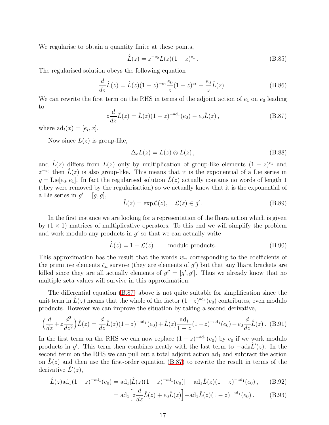We regularise to obtain a quantity finite at these points,

$$
\hat{L}(z) = z^{-e_0} L(z) (1 - z)^{e_1} . \tag{B.85}
$$

The regularised solution obeys the following equation

$$
\frac{d}{dz}\hat{L}(z) = \hat{L}(z)(1-z)^{-e_1}\frac{e_0}{z}(1-z)^{e_1} - \frac{e_0}{z}\hat{L}(z).
$$
 (B.86)

We can rewrite the first term on the RHS in terms of the adjoint action of  $e_1$  on  $e_0$  leading to

<span id="page-17-0"></span>
$$
z\frac{d}{dz}\hat{L}(z) = \hat{L}(z)(1-z)^{-\text{ad}_1}(e_0) - e_0\hat{L}(z),
$$
 (B.87)

where  $\mathrm{ad}_i(x) = [e_i, x]$ .

Now since  $L(z)$  is group-like,

$$
\Delta_e L(z) = L(z) \otimes L(z) , \qquad (B.88)
$$

and  $\hat{L}(z)$  differs from  $L(z)$  only by multiplication of group-like elements  $(1-z)^{e_1}$  and  $z^{-e_0}$  then  $\hat{L}(z)$  is also group-like. This means that it is the exponential of a Lie series in  $g = \text{Lie}[e_0, e_1]$ . In fact the regularised solution  $\tilde{L}(z)$  actually contains no words of length 1 (they were removed by the regularisation) so we actually know that it is the exponential of a Lie series in  $g' = [g, g]$ ,

$$
\hat{L}(z) = \exp\mathcal{L}(z), \quad \mathcal{L}(z) \in g'.
$$
\n(B.89)

In the first instance we are looking for a representation of the Ihara action which is given by  $(1 \times 1)$  matrices of multiplicative operators. To this end we will simplify the problem and work modulo any products in  $g'$  so that we can actually write

$$
\hat{L}(z) = 1 + \mathcal{L}(z) \qquad \text{modulo products.} \tag{B.90}
$$

This approximation has the result that the words  $w_n$  corresponding to the coefficients of the primitive elements  $\zeta_n$  survive (they are elements of  $g'$ ) but that any Ihara brackets are killed since they are all actually elements of  $g'' = [g', g']$ . Thus we already know that no multiple zeta values will survive in this approximation.

The differential equation [\(B.87\)](#page-17-0) above is not quite suitable for simplification since the unit term in  $\hat{L}(z)$  means that the whole of the factor  $(1-z)^{ad_1}(e_0)$  contributes, even modulo products. However we can improve the situation by taking a second derivative,

$$
\left(\frac{d}{dz} + z\frac{d^2}{dz^2}\right)\hat{L}(z) = \frac{d}{dz}\hat{L}(z)(1-z)^{-\text{ad}_1}(e_0) + \hat{L}(z)\frac{\text{ad}_1}{1-z}(1-z)^{-\text{ad}_1}(e_0) - e_0\frac{d}{dz}\hat{L}(z). \tag{B.91}
$$

In the first term on the RHS we can now replace  $(1-z)^{-\text{ad}_{1}}(e_{0})$  by  $e_{0}$  if we work modulo products in g'. This term then combines neatly with the last term to  $-a d_0 \hat{L}'(z)$ . In the second term on the RHS we can pull out a total adjoint action  $ad<sub>1</sub>$  and subtract the action on  $\hat{L}(z)$  and then use the first-order equation [\(B.87\)](#page-17-0) to rewrite the result in terms of the derivative  $\hat{L}'(z)$ ,

$$
\hat{L}(z) \text{ad}_1(1-z)^{-\text{ad}_1}(e_0) = \text{ad}_1[\hat{L}(z)(1-z)^{-\text{ad}_1}(e_0)] - \text{ad}_1\hat{L}(z)(1-z)^{-\text{ad}_1}(e_0), \quad (B.92)
$$

$$
= ad_1 \Big[ z \frac{d}{dz} \hat{L}(z) + e_0 \hat{L}(z) \Big] - ad_1 \hat{L}(z) (1 - z)^{-ad_1} (e_0).
$$
 (B.93)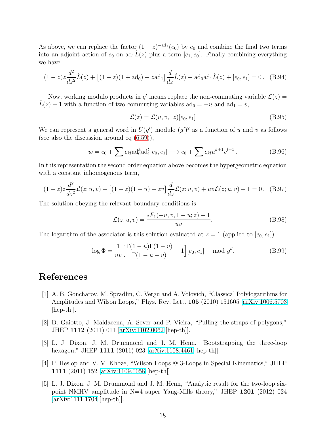As above, we can replace the factor  $(1-z)^{-ad_1}(e_0)$  by  $e_0$  and combine the final two terms into an adjoint action of  $e_0$  on  $ad_1\hat{L}(z)$  plus a term  $[e_1, e_0]$ . Finally combining everything we have

$$
(1-z)z\frac{d^2}{dz^2}\hat{L}(z) + \left[ (1-z)(1+\text{ad}_0) - z\text{ad}_1 \right]\frac{d}{dz}\hat{L}(z) - \text{ad}_0\text{ad}_1\hat{L}(z) + [e_0, e_1] = 0. \quad (B.94)
$$

Now, working modulo products in g' means replace the non-commuting variable  $\mathcal{L}(z) =$  $\hat{L}(z) - 1$  with a function of two commuting variables  $ad_0 = -u$  and  $ad_1 = v$ ,

$$
\mathcal{L}(z) = \mathcal{L}(u, v, ; z)[e_0, e_1]
$$
\n(B.95)

We can represent a general word in  $U(g')$  modulo  $(g')^2$  as a function of u and v as follows (see also the discussion around eq [\(6.59\)](#page-12-1)),

$$
w = c_0 + \sum c_{kl} \text{ad}_0^k \text{ad}_1^l[e_0, e_1] \longrightarrow c_0 + \sum c_{kl} u^{k+1} v^{l+1}.
$$
 (B.96)

In this representation the second order equation above becomes the hypergeometric equation with a constant inhomogenous term,

$$
(1-z)z\frac{d^2}{dz^2}\mathcal{L}(z;u,v) + [(1-z)(1-u) - zv]\frac{d}{dz}\mathcal{L}(z;u,v) + uv\mathcal{L}(z;u,v) + 1 = 0.
$$
 (B.97)

The solution obeying the relevant boundary conditions is

$$
\mathcal{L}(z; u, v) = \frac{{}_2F_1(-u, v, 1 - u; z) - 1}{uv}.
$$
\n(B.98)

The logarithm of the associator is this solution evaluated at  $z = 1$  (applied to  $[e_0, e_1]$ )

$$
\log \Phi = \frac{1}{uv} \left[ \frac{\Gamma(1-u)\Gamma(1-v)}{\Gamma(1-u-v)} - 1 \right] [e_0, e_1] \mod g''.
$$
 (B.99)

# <span id="page-18-0"></span>References

- [1] A. B. Goncharov, M. Spradlin, C. Vergu and A. Volovich, "Classical Polylogarithms for Amplitudes and Wilson Loops," Phys. Rev. Lett. 105 (2010) 151605 [\[arXiv:1006.5703](http://arxiv.org/abs/1006.5703) [hep-th]].
- <span id="page-18-1"></span>[2] D. Gaiotto, J. Maldacena, A. Sever and P. Vieira, "Pulling the straps of polygons," JHEP 1112 (2011) 011 [\[arXiv:1102.0062](http://arxiv.org/abs/1102.0062) [hep-th]].
- <span id="page-18-2"></span>[3] L. J. Dixon, J. M. Drummond and J. M. Henn, "Bootstrapping the three-loop hexagon," JHEP 1111 (2011) 023 [\[arXiv:1108.4461](http://arxiv.org/abs/1108.4461) [hep-th]].
- <span id="page-18-3"></span>[4] P. Heslop and V. V. Khoze, "Wilson Loops @ 3-Loops in Special Kinematics," JHEP 1111 (2011) 152 [\[arXiv:1109.0058](http://arxiv.org/abs/1109.0058) [hep-th]].
- <span id="page-18-4"></span>[5] L. J. Dixon, J. M. Drummond and J. M. Henn, "Analytic result for the two-loop sixpoint NMHV amplitude in N=4 super Yang-Mills theory," JHEP  $1201$  (2012) 024 [\[arXiv:1111.1704](http://arxiv.org/abs/1111.1704) [hep-th]].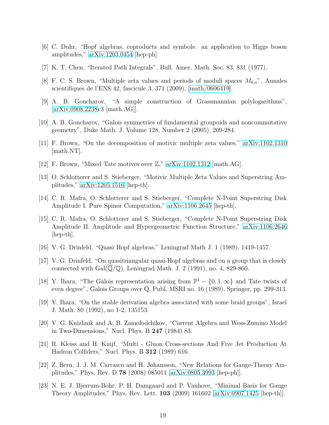- <span id="page-19-1"></span><span id="page-19-0"></span>[6] C. Duhr, "Hopf algebras, coproducts and symbols: an application to Higgs boson amplitudes," [arXiv:1203.0454](http://arxiv.org/abs/1203.0454) [hep-ph].
- <span id="page-19-2"></span>[7] K. T. Chen, "Iterated Path Integrals", Bull. Amer. Math. Soc. 83, 831 (1977).
- [8] F. C. S. Brown, "Multiple zeta values and periods of moduli spaces  $M_{0,n}$ ", Annales scientifiques de l'ENS 42, fascicule 3, 371 (2009), [\[math/0606419\]](http://arxiv.org/abs/math/0606419).
- <span id="page-19-3"></span>[9] A. B. Goncharov, "A simple construction of Grassmannian polylogarithms", [\[arXiv:0908.2238v](http://arxiv.org/abs/0908.2238)3 [math.AG]].
- <span id="page-19-5"></span><span id="page-19-4"></span>[10] A. B. Goncharov, "Galois symmetries of fundamental groupoids and noncommutative geometry", Duke Math. J. Volume 128, Number 2 (2005), 209-284.
- <span id="page-19-6"></span>[11] F. Brown, "On the decomposition of motivic multiple zeta values," [arXiv:1102.1310](http://arxiv.org/abs/1102.1310) [math.NT].
- <span id="page-19-7"></span>[12] F. Brown, "Mixed Tate motives over Z," [arXiv:1102.1312](http://arxiv.org/abs/1102.1312) [math.AG].
- [13] O. Schlotterer and S. Stieberger, "Motivic Multiple Zeta Values and Superstring Amplitudes," [arXiv:1205.1516](http://arxiv.org/abs/1205.1516) [hep-th].
- <span id="page-19-8"></span>[14] C. R. Mafra, O. Schlotterer and S. Stieberger, "Complete N-Point Superstring Disk Amplitude I. Pure Spinor Computation," [arXiv:1106.2645](http://arxiv.org/abs/1106.2645) [hep-th].
- <span id="page-19-9"></span>[15] C. R. Mafra, O. Schlotterer and S. Stieberger, "Complete N-Point Superstring Disk Amplitude II. Amplitude and Hypergeometric Function Structure," [arXiv:1106.2646](http://arxiv.org/abs/1106.2646)  $[hep-th]$ .
- <span id="page-19-11"></span><span id="page-19-10"></span>[16] V. G. Drinfeld, "Quasi Hopf algebras," Leningrad Math J. 1 (1989), 1419-1457.
- [17] V. G. Drinfeld, "On quasitriangular quasi-Hopf algebras and on a group that is closely connected with  $Gal(Q/\mathbb{Q})$ , Leningrad Math. J. 2 (1991), no. 4, 829-860.
- <span id="page-19-17"></span>[18] Y. Ihara, "The Galois representation arising from  $\mathbb{P}^1 - \{0, 1, \infty\}$  and Tate twists of even degree", Galois Groups over Q, Publ. MSRI no. 16 (1989), Springer, pp. 299-313.
- <span id="page-19-13"></span>[19] Y. Ihara, "On the stable derivation algebra associated with some braid groups", Israel J. Math. 80 (1992), no 1-2, 135153.
- <span id="page-19-12"></span>[20] V. G. Knizhnik and A. B. Zamolodchikov, "Current Algebra and Wess-Zumino Model in Two-Dimensions," Nucl. Phys. B 247 (1984) 83.
- <span id="page-19-14"></span>[21] R. Kleiss and H. Kuijf, "Multi - Gluon Cross-sections And Five Jet Production At Hadron Colliders," Nucl. Phys. B 312 (1989) 616.
- <span id="page-19-15"></span>[22] Z. Bern, J. J. M. Carrasco and H. Johansson, "New Relations for Gauge-Theory Amplitudes," Phys. Rev. D 78 (2008) 085011 [\[arXiv:0805.3993](http://arxiv.org/abs/0805.3993) [hep-ph]].
- <span id="page-19-16"></span>[23] N. E. J. Bjerrum-Bohr, P. H. Damgaard and P. Vanhove, "Minimal Basis for Gauge Theory Amplitudes," Phys. Rev. Lett. 103 (2009) 161602 [\[arXiv:0907.1425](http://arxiv.org/abs/0907.1425) [hep-th]].